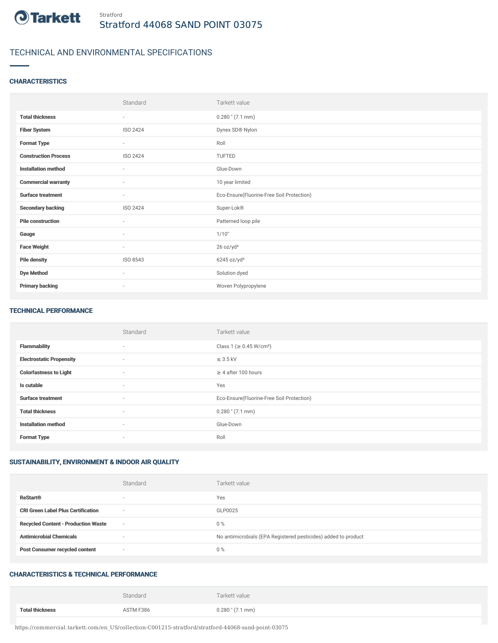

# TECHNICAL AND ENVIRONMENTAL SPECIFICATIONS

#### **CHARACTERISTICS**

|                             | Standard                 | Tarkett value                             |
|-----------------------------|--------------------------|-------------------------------------------|
| <b>Total thickness</b>      | ٠                        | $0.280$ " $(7.1$ mm)                      |
| <b>Fiber System</b>         | ISO 2424                 | Dynex SD® Nylon                           |
| <b>Format Type</b>          | $\overline{\phantom{a}}$ | Roll                                      |
| <b>Construction Process</b> | ISO 2424                 | TUFTED                                    |
| <b>Installation method</b>  | ٠                        | Glue-Down                                 |
| <b>Commercial warranty</b>  | ٠                        | 10 year limited                           |
| <b>Surface treatment</b>    | ٠                        | Eco-Ensure(Fluorine-Free Soil Protection) |
| <b>Secondary backing</b>    | ISO 2424                 | Super-Lok®                                |
| <b>Pile construction</b>    | $\sim$                   | Patterned loop pile                       |
| Gauge                       | $\sim$                   | 1/10"                                     |
| <b>Face Weight</b>          | $\sim$                   | 26 oz/yd <sup>2</sup>                     |
| <b>Pile density</b>         | ISO 8543                 | 6245 oz/yd <sup>3</sup>                   |
| <b>Dye Method</b>           | $\sim$                   | Solution dyed                             |
| <b>Primary backing</b>      | $\overline{\phantom{a}}$ | Woven Polypropylene                       |

#### TECHNICAL PERFORMANCE

|                                 | Standard                 | Tarkett value                             |
|---------------------------------|--------------------------|-------------------------------------------|
| <b>Flammability</b>             | $\sim$                   | Class 1 ( $\geq$ 0.45 W/cm <sup>2</sup> ) |
| <b>Electrostatic Propensity</b> | $\sim$                   | $\leq$ 3.5 kV                             |
| <b>Colorfastness to Light</b>   | $\sim$                   | $\geq 4$ after 100 hours                  |
| Is cutable                      | $\sim$                   | Yes                                       |
| <b>Surface treatment</b>        | $\sim$                   | Eco-Ensure(Fluorine-Free Soil Protection) |
| <b>Total thickness</b>          | $\sim$                   | $0.280$ " (7.1 mm)                        |
| <b>Installation method</b>      | $\sim$                   | Glue-Down                                 |
| <b>Format Type</b>              | $\overline{\phantom{a}}$ | Roll                                      |

## SUSTAINABILITY, ENVIRONMENT & INDOOR AIR QUALITY

|                                            | Standard                 | Tarkett value                                                  |
|--------------------------------------------|--------------------------|----------------------------------------------------------------|
| <b>ReStart®</b>                            | $\overline{\phantom{a}}$ | Yes                                                            |
| <b>CRI Green Label Plus Certification</b>  | $\sim$                   | GLP0025                                                        |
| <b>Recycled Content - Production Waste</b> | $\sim$                   | $0\%$                                                          |
| <b>Antimicrobial Chemicals</b>             | ۰                        | No antimicrobials (EPA Registered pesticides) added to product |
| <b>Post Consumer recycled content</b>      | $\sim$                   | 0%                                                             |

### CHARACTERISTICS & TECHNICAL PERFORMANCE

|                        | Standard  | Tarkett value        |
|------------------------|-----------|----------------------|
| <b>Total thickness</b> | ASTM F386 | $0.280$ " $(7.1$ mm) |

https://commercial.tarkett.com/en\_US/collection-C001215-stratford/stratford-44068-sand-point-03075